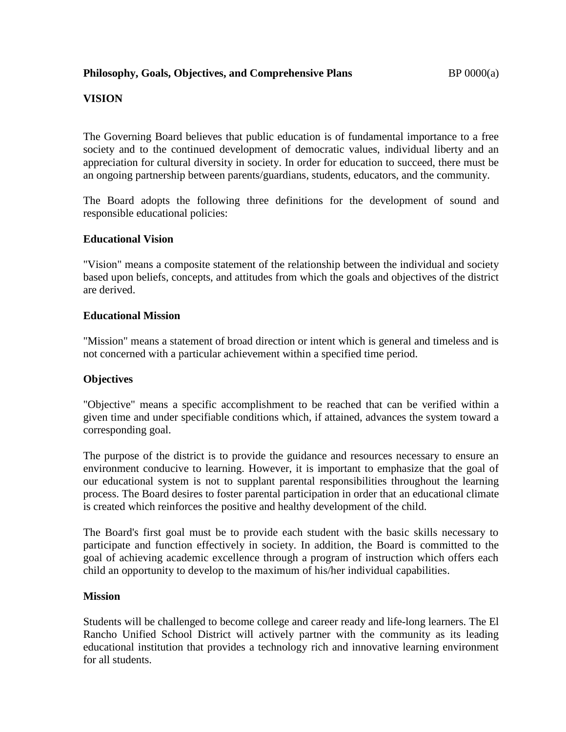### **VISION**

The Governing Board believes that public education is of fundamental importance to a free society and to the continued development of democratic values, individual liberty and an appreciation for cultural diversity in society. In order for education to succeed, there must be an ongoing partnership between parents/guardians, students, educators, and the community.

The Board adopts the following three definitions for the development of sound and responsible educational policies:

#### **Educational Vision**

"Vision" means a composite statement of the relationship between the individual and society based upon beliefs, concepts, and attitudes from which the goals and objectives of the district are derived.

#### **Educational Mission**

"Mission" means a statement of broad direction or intent which is general and timeless and is not concerned with a particular achievement within a specified time period.

#### **Objectives**

"Objective" means a specific accomplishment to be reached that can be verified within a given time and under specifiable conditions which, if attained, advances the system toward a corresponding goal.

The purpose of the district is to provide the guidance and resources necessary to ensure an environment conducive to learning. However, it is important to emphasize that the goal of our educational system is not to supplant parental responsibilities throughout the learning process. The Board desires to foster parental participation in order that an educational climate is created which reinforces the positive and healthy development of the child.

The Board's first goal must be to provide each student with the basic skills necessary to participate and function effectively in society. In addition, the Board is committed to the goal of achieving academic excellence through a program of instruction which offers each child an opportunity to develop to the maximum of his/her individual capabilities.

#### **Mission**

Students will be challenged to become college and career ready and life-long learners. The El Rancho Unified School District will actively partner with the community as its leading educational institution that provides a technology rich and innovative learning environment for all students.